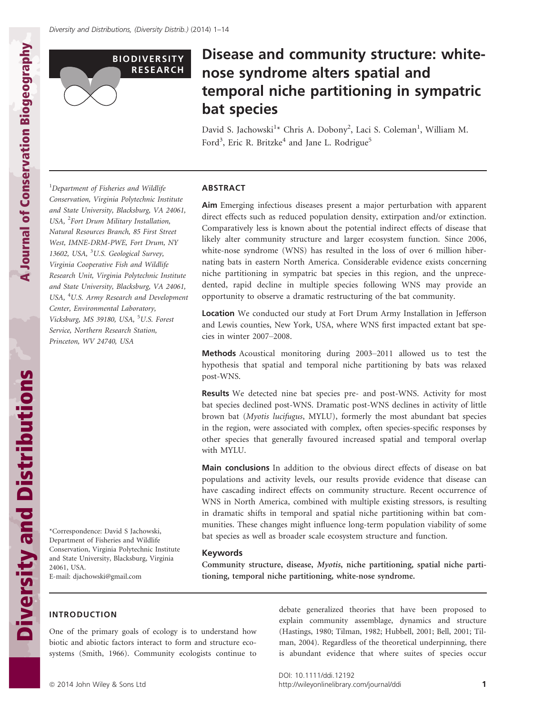

A Journal of Conservation Biogeography

A Journal of Conservation Biogeography

Diversity and Distributions

**Diversity and Distributions** 

# Disease and community structure: whitenose syndrome alters spatial and temporal niche partitioning in sympatric bat species

David S. Jachowski<sup>1</sup>\* Chris A. Dobony<sup>2</sup>, Laci S. Coleman<sup>1</sup>, William M. Ford<sup>3</sup>, Eric R. Britzke<sup>4</sup> and Jane L. Rodrigue<sup>5</sup>

<sup>1</sup>Department of Fisheries and Wildlife Conservation, Virginia Polytechnic Institute and State University, Blacksburg, VA 24061, USA, <sup>2</sup>Fort Drum Military Installation, Natural Resources Branch, 85 First Street West, IMNE-DRM-PWE, Fort Drum, NY 13602, USA, <sup>3</sup>U.S. Geological Survey, Virginia Cooperative Fish and Wildlife Research Unit, Virginia Polytechnic Institute and State University, Blacksburg, VA 24061, USA, <sup>4</sup>U.S. Army Research and Development Center, Environmental Laboratory, Vicksburg, MS 39180, USA, <sup>5</sup>U.S. Forest Service, Northern Research Station, Princeton, WV 24740, USA

\*Correspondence: David S Jachowski, Department of Fisheries and Wildlife Conservation, Virginia Polytechnic Institute and State University, Blacksburg, Virginia 24061, USA. E-mail: djachowski@gmail.com

## ABSTRACT

Aim Emerging infectious diseases present a major perturbation with apparent direct effects such as reduced population density, extirpation and/or extinction. Comparatively less is known about the potential indirect effects of disease that likely alter community structure and larger ecosystem function. Since 2006, white-nose syndrome (WNS) has resulted in the loss of over 6 million hibernating bats in eastern North America. Considerable evidence exists concerning niche partitioning in sympatric bat species in this region, and the unprecedented, rapid decline in multiple species following WNS may provide an opportunity to observe a dramatic restructuring of the bat community.

Location We conducted our study at Fort Drum Army Installation in Jefferson and Lewis counties, New York, USA, where WNS first impacted extant bat species in winter 2007–2008.

Methods Acoustical monitoring during 2003–2011 allowed us to test the hypothesis that spatial and temporal niche partitioning by bats was relaxed post-WNS.

Results We detected nine bat species pre- and post-WNS. Activity for most bat species declined post-WNS. Dramatic post-WNS declines in activity of little brown bat (Myotis lucifugus, MYLU), formerly the most abundant bat species in the region, were associated with complex, often species-specific responses by other species that generally favoured increased spatial and temporal overlap with MYLU.

Main conclusions In addition to the obvious direct effects of disease on bat populations and activity levels, our results provide evidence that disease can have cascading indirect effects on community structure. Recent occurrence of WNS in North America, combined with multiple existing stressors, is resulting in dramatic shifts in temporal and spatial niche partitioning within bat communities. These changes might influence long-term population viability of some bat species as well as broader scale ecosystem structure and function.

### Keywords

Community structure, disease, Myotis, niche partitioning, spatial niche partitioning, temporal niche partitioning, white-nose syndrome.

# INTRODUCTION

One of the primary goals of ecology is to understand how biotic and abiotic factors interact to form and structure ecosystems (Smith, 1966). Community ecologists continue to debate generalized theories that have been proposed to explain community assemblage, dynamics and structure (Hastings, 1980; Tilman, 1982; Hubbell, 2001; Bell, 2001; Tilman, 2004). Regardless of the theoretical underpinning, there is abundant evidence that where suites of species occur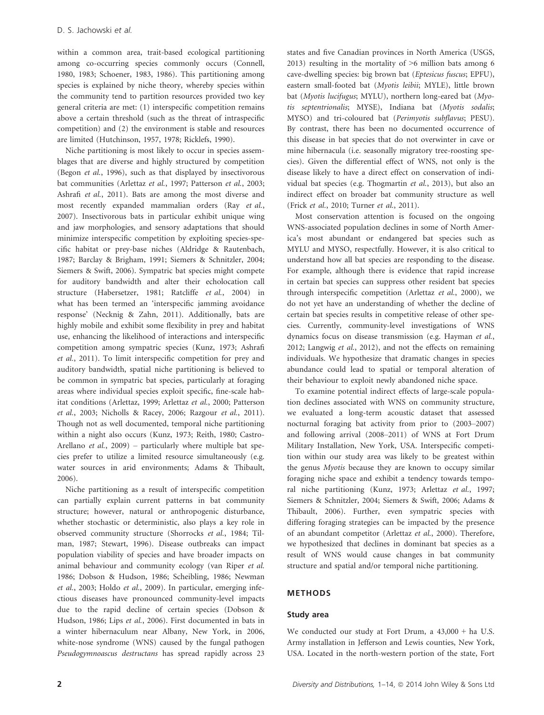within a common area, trait-based ecological partitioning among co-occurring species commonly occurs (Connell, 1980, 1983; Schoener, 1983, 1986). This partitioning among species is explained by niche theory, whereby species within the community tend to partition resources provided two key general criteria are met: (1) interspecific competition remains above a certain threshold (such as the threat of intraspecific competition) and (2) the environment is stable and resources are limited (Hutchinson, 1957, 1978; Ricklefs, 1990).

Niche partitioning is most likely to occur in species assemblages that are diverse and highly structured by competition (Begon et al., 1996), such as that displayed by insectivorous bat communities (Arlettaz et al., 1997; Patterson et al., 2003; Ashrafi et al., 2011). Bats are among the most diverse and most recently expanded mammalian orders (Ray et al., 2007). Insectivorous bats in particular exhibit unique wing and jaw morphologies, and sensory adaptations that should minimize interspecific competition by exploiting species-specific habitat or prey-base niches (Aldridge & Rautenbach, 1987; Barclay & Brigham, 1991; Siemers & Schnitzler, 2004; Siemers & Swift, 2006). Sympatric bat species might compete for auditory bandwidth and alter their echolocation call structure (Habersetzer, 1981; Ratcliffe et al., 2004) in what has been termed an 'interspecific jamming avoidance response' (Necknig & Zahn, 2011). Additionally, bats are highly mobile and exhibit some flexibility in prey and habitat use, enhancing the likelihood of interactions and interspecific competition among sympatric species (Kunz, 1973; Ashrafi et al., 2011). To limit interspecific competition for prey and auditory bandwidth, spatial niche partitioning is believed to be common in sympatric bat species, particularly at foraging areas where individual species exploit specific, fine-scale habitat conditions (Arlettaz, 1999; Arlettaz et al., 2000; Patterson et al., 2003; Nicholls & Racey, 2006; Razgour et al., 2011). Though not as well documented, temporal niche partitioning within a night also occurs (Kunz, 1973; Reith, 1980; Castro-Arellano *et al.*, 2009) – particularly where multiple bat species prefer to utilize a limited resource simultaneously (e.g. water sources in arid environments; Adams & Thibault, 2006).

Niche partitioning as a result of interspecific competition can partially explain current patterns in bat community structure; however, natural or anthropogenic disturbance, whether stochastic or deterministic, also plays a key role in observed community structure (Shorrocks et al., 1984; Tilman, 1987; Stewart, 1996). Disease outbreaks can impact population viability of species and have broader impacts on animal behaviour and community ecology (van Riper et al. 1986; Dobson & Hudson, 1986; Scheibling, 1986; Newman et al., 2003; Holdo et al., 2009). In particular, emerging infectious diseases have pronounced community-level impacts due to the rapid decline of certain species (Dobson & Hudson, 1986; Lips et al., 2006). First documented in bats in a winter hibernaculum near Albany, New York, in 2006, white-nose syndrome (WNS) caused by the fungal pathogen Pseudogymnoascus destructans has spread rapidly across 23 states and five Canadian provinces in North America (USGS, 2013) resulting in the mortality of >6 million bats among 6 cave-dwelling species: big brown bat (Eptesicus fuscus; EPFU), eastern small-footed bat (Myotis leibii; MYLE), little brown bat (Myotis lucifugus; MYLU), northern long-eared bat (Myotis septentrionalis; MYSE), Indiana bat (Myotis sodalis; MYSO) and tri-coloured bat (Perimyotis subflavus; PESU). By contrast, there has been no documented occurrence of this disease in bat species that do not overwinter in cave or mine hibernacula (i.e. seasonally migratory tree-roosting species). Given the differential effect of WNS, not only is the disease likely to have a direct effect on conservation of individual bat species (e.g. Thogmartin et al., 2013), but also an indirect effect on broader bat community structure as well (Frick et al., 2010; Turner et al., 2011).

Most conservation attention is focused on the ongoing WNS-associated population declines in some of North America's most abundant or endangered bat species such as MYLU and MYSO, respectfully. However, it is also critical to understand how all bat species are responding to the disease. For example, although there is evidence that rapid increase in certain bat species can suppress other resident bat species through interspecific competition (Arlettaz et al., 2000), we do not yet have an understanding of whether the decline of certain bat species results in competitive release of other species. Currently, community-level investigations of WNS dynamics focus on disease transmission (e.g. Hayman et al., 2012; Langwig et al., 2012), and not the effects on remaining individuals. We hypothesize that dramatic changes in species abundance could lead to spatial or temporal alteration of their behaviour to exploit newly abandoned niche space.

To examine potential indirect effects of large-scale population declines associated with WNS on community structure, we evaluated a long-term acoustic dataset that assessed nocturnal foraging bat activity from prior to (2003–2007) and following arrival (2008–2011) of WNS at Fort Drum Military Installation, New York, USA. Interspecific competition within our study area was likely to be greatest within the genus Myotis because they are known to occupy similar foraging niche space and exhibit a tendency towards temporal niche partitioning (Kunz, 1973; Arlettaz et al., 1997; Siemers & Schnitzler, 2004; Siemers & Swift, 2006; Adams & Thibault, 2006). Further, even sympatric species with differing foraging strategies can be impacted by the presence of an abundant competitor (Arlettaz et al., 2000). Therefore, we hypothesized that declines in dominant bat species as a result of WNS would cause changes in bat community structure and spatial and/or temporal niche partitioning.

### METHODS

#### Study area

We conducted our study at Fort Drum, a 43,000 + ha U.S. Army installation in Jefferson and Lewis counties, New York, USA. Located in the north-western portion of the state, Fort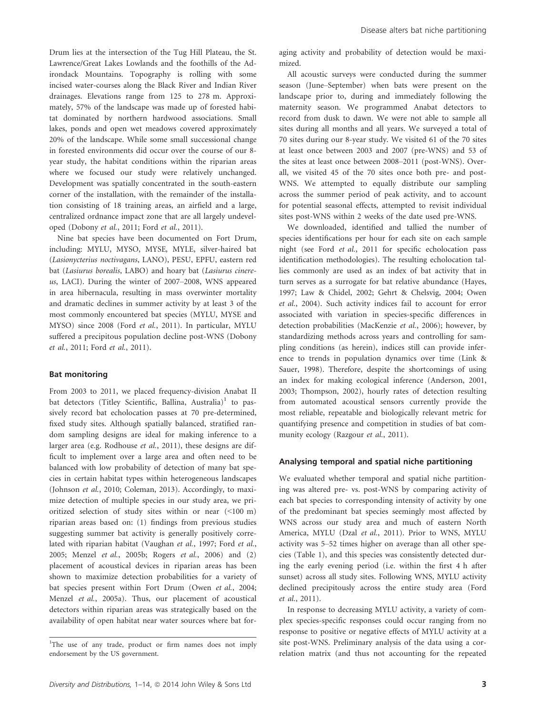Drum lies at the intersection of the Tug Hill Plateau, the St. Lawrence/Great Lakes Lowlands and the foothills of the Adirondack Mountains. Topography is rolling with some incised water-courses along the Black River and Indian River drainages. Elevations range from 125 to 278 m. Approximately, 57% of the landscape was made up of forested habitat dominated by northern hardwood associations. Small lakes, ponds and open wet meadows covered approximately 20% of the landscape. While some small successional change in forested environments did occur over the course of our 8 year study, the habitat conditions within the riparian areas where we focused our study were relatively unchanged. Development was spatially concentrated in the south-eastern corner of the installation, with the remainder of the installation consisting of 18 training areas, an airfield and a large, centralized ordnance impact zone that are all largely undeveloped (Dobony et al., 2011; Ford et al., 2011).

Nine bat species have been documented on Fort Drum, including: MYLU, MYSO, MYSE, MYLE, silver-haired bat (Lasionycterius noctivagans, LANO), PESU, EPFU, eastern red bat (Lasiurus borealis, LABO) and hoary bat (Lasiurus cinereus, LACI). During the winter of 2007–2008, WNS appeared in area hibernacula, resulting in mass overwinter mortality and dramatic declines in summer activity by at least 3 of the most commonly encountered bat species (MYLU, MYSE and MYSO) since 2008 (Ford et al., 2011). In particular, MYLU suffered a precipitous population decline post-WNS (Dobony et al., 2011; Ford et al., 2011).

### Bat monitoring

From 2003 to 2011, we placed frequency-division Anabat II bat detectors (Titley Scientific, Ballina, Australia)<sup>1</sup> to passively record bat echolocation passes at 70 pre-determined, fixed study sites. Although spatially balanced, stratified random sampling designs are ideal for making inference to a larger area (e.g. Rodhouse et al., 2011), these designs are difficult to implement over a large area and often need to be balanced with low probability of detection of many bat species in certain habitat types within heterogeneous landscapes (Johnson et al., 2010; Coleman, 2013). Accordingly, to maximize detection of multiple species in our study area, we prioritized selection of study sites within or near (<100 m) riparian areas based on: (1) findings from previous studies suggesting summer bat activity is generally positively correlated with riparian habitat (Vaughan et al., 1997; Ford et al., 2005; Menzel et al., 2005b; Rogers et al., 2006) and (2) placement of acoustical devices in riparian areas has been shown to maximize detection probabilities for a variety of bat species present within Fort Drum (Owen et al., 2004; Menzel et al., 2005a). Thus, our placement of acoustical detectors within riparian areas was strategically based on the availability of open habitat near water sources where bat foraging activity and probability of detection would be maximized.

All acoustic surveys were conducted during the summer season (June–September) when bats were present on the landscape prior to, during and immediately following the maternity season. We programmed Anabat detectors to record from dusk to dawn. We were not able to sample all sites during all months and all years. We surveyed a total of 70 sites during our 8-year study. We visited 61 of the 70 sites at least once between 2003 and 2007 (pre-WNS) and 53 of the sites at least once between 2008–2011 (post-WNS). Overall, we visited 45 of the 70 sites once both pre- and post-WNS. We attempted to equally distribute our sampling across the summer period of peak activity, and to account for potential seasonal effects, attempted to revisit individual sites post-WNS within 2 weeks of the date used pre-WNS.

We downloaded, identified and tallied the number of species identifications per hour for each site on each sample night (see Ford et al., 2011 for specific echolocation pass identification methodologies). The resulting echolocation tallies commonly are used as an index of bat activity that in turn serves as a surrogate for bat relative abundance (Hayes, 1997; Law & Chidel, 2002; Gehrt & Chelsvig, 2004; Owen et al., 2004). Such activity indices fail to account for error associated with variation in species-specific differences in detection probabilities (MacKenzie et al., 2006); however, by standardizing methods across years and controlling for sampling conditions (as herein), indices still can provide inference to trends in population dynamics over time (Link & Sauer, 1998). Therefore, despite the shortcomings of using an index for making ecological inference (Anderson, 2001, 2003; Thompson, 2002), hourly rates of detection resulting from automated acoustical sensors currently provide the most reliable, repeatable and biologically relevant metric for quantifying presence and competition in studies of bat community ecology (Razgour et al., 2011).

## Analysing temporal and spatial niche partitioning

We evaluated whether temporal and spatial niche partitioning was altered pre- vs. post-WNS by comparing activity of each bat species to corresponding intensity of activity by one of the predominant bat species seemingly most affected by WNS across our study area and much of eastern North America, MYLU (Dzal et al., 2011). Prior to WNS, MYLU activity was 5–52 times higher on average than all other species (Table 1), and this species was consistently detected during the early evening period (i.e. within the first 4 h after sunset) across all study sites. Following WNS, MYLU activity declined precipitously across the entire study area (Ford et al., 2011).

In response to decreasing MYLU activity, a variety of complex species-specific responses could occur ranging from no response to positive or negative effects of MYLU activity at a site post-WNS. Preliminary analysis of the data using a correlation matrix (and thus not accounting for the repeated

<sup>&</sup>lt;sup>1</sup>The use of any trade, product or firm names does not imply endorsement by the US government.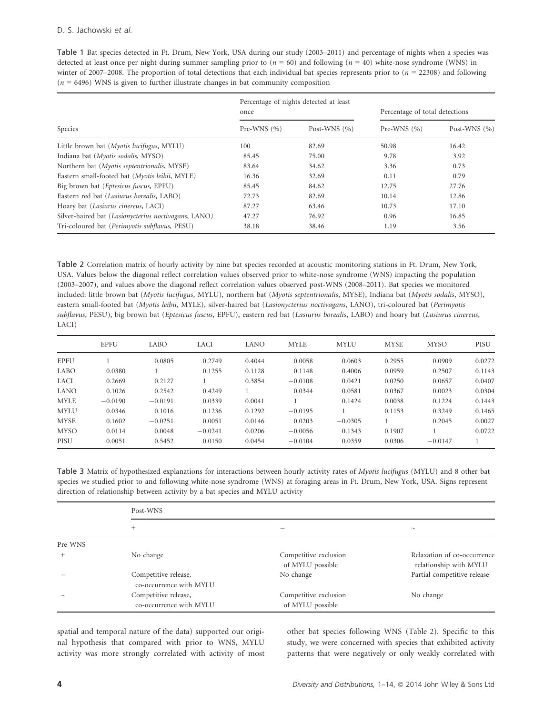Table 1 Bat species detected in Ft. Drum, New York, USA during our study (2003–2011) and percentage of nights when a species was detected at least once per night during summer sampling prior to  $(n = 60)$  and following  $(n = 40)$  white-nose syndrome (WNS) in winter of 2007–2008. The proportion of total detections that each individual bat species represents prior to  $(n = 22308)$  and following  $(n = 6496)$  WNS is given to further illustrate changes in bat community composition

|                                                      | once            | Percentage of nights detected at least | Percentage of total detections |                  |  |
|------------------------------------------------------|-----------------|----------------------------------------|--------------------------------|------------------|--|
| <b>Species</b>                                       | Pre-WNS $(\% )$ | Post-WNS $(\% )$                       | Pre-WNS $(\% )$                | Post-WNS $(\% )$ |  |
| Little brown bat ( <i>Myotis lucifugus</i> , MYLU)   | 100             | 82.69                                  | 50.98                          | 16.42            |  |
| Indiana bat (Myotis sodalis, MYSO)                   | 85.45           | 75.00                                  | 9.78                           | 3.92             |  |
| Northern bat (Myotis septentrionalis, MYSE)          | 83.64           | 34.62                                  | 3.36                           | 0.73             |  |
| Eastern small-footed bat (Myotis leibii, MYLE)       | 16.36           | 32.69                                  | 0.11                           | 0.79             |  |
| Big brown bat (Eptesicus fuscus, EPFU)               | 85.45           | 84.62                                  | 12.75                          | 27.76            |  |
| Eastern red bat (Lasiurus borealis, LABO)            | 72.73           | 82.69                                  | 10.14                          | 12.86            |  |
| Hoary bat (Lasiurus cinereus, LACI)                  | 87.27           | 63.46                                  | 10.73                          | 17.10            |  |
| Silver-haired bat (Lasionycterius noctivagans, LANO) | 47.27           | 76.92                                  | 0.96                           | 16.85            |  |
| Tri-coloured bat (Perimyotis subflavus, PESU)        | 38.18           | 38.46                                  | 1.19                           | 3.56             |  |

Table 2 Correlation matrix of hourly activity by nine bat species recorded at acoustic monitoring stations in Ft. Drum, New York, USA. Values below the diagonal reflect correlation values observed prior to white-nose syndrome (WNS) impacting the population (2003–2007), and values above the diagonal reflect correlation values observed post-WNS (2008–2011). Bat species we monitored included: little brown bat (Myotis lucifugus, MYLU), northern bat (Myotis septentrionalis, MYSE), Indiana bat (Myotis sodalis, MYSO), eastern small-footed bat (Myotis leibii, MYLE), silver-haired bat (Lasionycterius noctivagans, LANO), tri-coloured bat (Perimyotis subflavus, PESU), big brown bat (Eptesicus fuscus, EPFU), eastern red bat (Lasiurus borealis, LABO) and hoary bat (Lasiurus cinereus, LACI)

|             | EPFU      | LABO      | <b>LACI</b> | LANO   | <b>MYLE</b> | <b>MYLU</b> | <b>MYSE</b> | <b>MYSO</b> | PISU   |
|-------------|-----------|-----------|-------------|--------|-------------|-------------|-------------|-------------|--------|
| <b>EPFU</b> |           | 0.0805    | 0.2749      | 0.4044 | 0.0058      | 0.0603      | 0.2955      | 0.0909      | 0.0272 |
| LABO        | 0.0380    |           | 0.1255      | 0.1128 | 0.1148      | 0.4006      | 0.0959      | 0.2507      | 0.1143 |
| <b>LACI</b> | 0.2669    | 0.2127    |             | 0.3854 | $-0.0108$   | 0.0421      | 0.0250      | 0.0657      | 0.0407 |
| LANO        | 0.1026    | 0.2542    | 0.4249      |        | 0.0344      | 0.0581      | 0.0367      | 0.0023      | 0.0304 |
| <b>MYLE</b> | $-0.0190$ | $-0.0191$ | 0.0339      | 0.0041 |             | 0.1424      | 0.0038      | 0.1224      | 0.1443 |
| <b>MYLU</b> | 0.0346    | 0.1016    | 0.1236      | 0.1292 | $-0.0195$   |             | 0.1153      | 0.3249      | 0.1465 |
| <b>MYSE</b> | 0.1602    | $-0.0251$ | 0.0051      | 0.0146 | 0.0203      | $-0.0305$   |             | 0.2045      | 0.0027 |
| <b>MYSO</b> | 0.0114    | 0.0048    | $-0.0241$   | 0.0206 | $-0.0056$   | 0.1343      | 0.1907      |             | 0.0722 |
| PISU        | 0.0051    | 0.5452    | 0.0150      | 0.0454 | $-0.0104$   | 0.0359      | 0.0306      | $-0.0147$   |        |

Table 3 Matrix of hypothesized explanations for interactions between hourly activity rates of Myotis lucifugus (MYLU) and 8 other bat species we studied prior to and following white-nose syndrome (WNS) at foraging areas in Ft. Drum, New York, USA. Signs represent direction of relationship between activity by a bat species and MYLU activity

|         | Post-WNS                                        |                                           |                                                       |  |  |  |
|---------|-------------------------------------------------|-------------------------------------------|-------------------------------------------------------|--|--|--|
|         | $^{+}$                                          |                                           | $\sim$                                                |  |  |  |
| Pre-WNS |                                                 |                                           |                                                       |  |  |  |
| $+$     | No change                                       | Competitive exclusion<br>of MYLU possible | Relaxation of co-occurrence<br>relationship with MYLU |  |  |  |
|         | Competitive release,<br>co-occurrence with MYLU | No change                                 | Partial competitive release                           |  |  |  |
| $\sim$  | Competitive release,<br>co-occurrence with MYLU | Competitive exclusion<br>of MYLU possible | No change                                             |  |  |  |

spatial and temporal nature of the data) supported our original hypothesis that compared with prior to WNS, MYLU activity was more strongly correlated with activity of most other bat species following WNS (Table 2). Specific to this study, we were concerned with species that exhibited activity patterns that were negatively or only weakly correlated with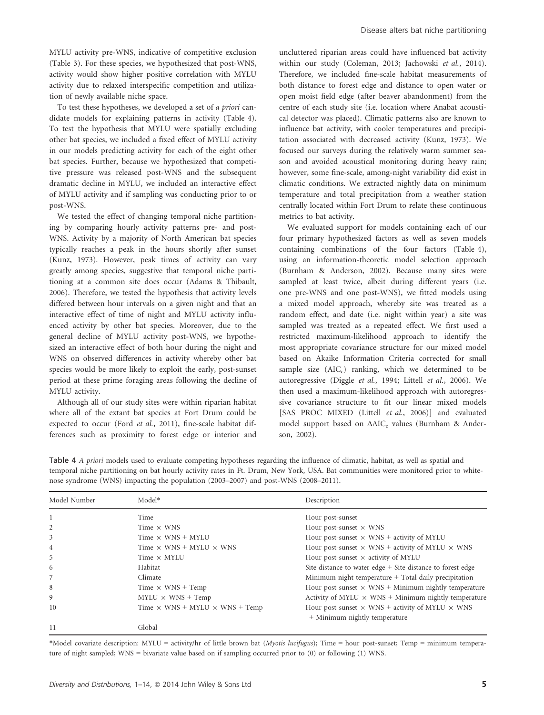MYLU activity pre-WNS, indicative of competitive exclusion (Table 3). For these species, we hypothesized that post-WNS, activity would show higher positive correlation with MYLU activity due to relaxed interspecific competition and utilization of newly available niche space.

To test these hypotheses, we developed a set of a priori candidate models for explaining patterns in activity (Table 4). To test the hypothesis that MYLU were spatially excluding other bat species, we included a fixed effect of MYLU activity in our models predicting activity for each of the eight other bat species. Further, because we hypothesized that competitive pressure was released post-WNS and the subsequent dramatic decline in MYLU, we included an interactive effect of MYLU activity and if sampling was conducting prior to or post-WNS.

We tested the effect of changing temporal niche partitioning by comparing hourly activity patterns pre- and post-WNS. Activity by a majority of North American bat species typically reaches a peak in the hours shortly after sunset (Kunz, 1973). However, peak times of activity can vary greatly among species, suggestive that temporal niche partitioning at a common site does occur (Adams & Thibault, 2006). Therefore, we tested the hypothesis that activity levels differed between hour intervals on a given night and that an interactive effect of time of night and MYLU activity influenced activity by other bat species. Moreover, due to the general decline of MYLU activity post-WNS, we hypothesized an interactive effect of both hour during the night and WNS on observed differences in activity whereby other bat species would be more likely to exploit the early, post-sunset period at these prime foraging areas following the decline of MYLU activity.

Although all of our study sites were within riparian habitat where all of the extant bat species at Fort Drum could be expected to occur (Ford et al., 2011), fine-scale habitat differences such as proximity to forest edge or interior and uncluttered riparian areas could have influenced bat activity within our study (Coleman, 2013; Jachowski et al., 2014). Therefore, we included fine-scale habitat measurements of both distance to forest edge and distance to open water or open moist field edge (after beaver abandonment) from the centre of each study site (i.e. location where Anabat acoustical detector was placed). Climatic patterns also are known to influence bat activity, with cooler temperatures and precipitation associated with decreased activity (Kunz, 1973). We focused our surveys during the relatively warm summer season and avoided acoustical monitoring during heavy rain; however, some fine-scale, among-night variability did exist in climatic conditions. We extracted nightly data on minimum temperature and total precipitation from a weather station centrally located within Fort Drum to relate these continuous metrics to bat activity.

We evaluated support for models containing each of our four primary hypothesized factors as well as seven models containing combinations of the four factors (Table 4), using an information-theoretic model selection approach (Burnham & Anderson, 2002). Because many sites were sampled at least twice, albeit during different years (i.e. one pre-WNS and one post-WNS), we fitted models using a mixed model approach, whereby site was treated as a random effect, and date (i.e. night within year) a site was sampled was treated as a repeated effect. We first used a restricted maximum-likelihood approach to identify the most appropriate covariance structure for our mixed model based on Akaike Information Criteria corrected for small sample size  $(AIC<sub>c</sub>)$  ranking, which we determined to be autoregressive (Diggle et al., 1994; Littell et al., 2006). We then used a maximum-likelihood approach with autoregressive covariance structure to fit our linear mixed models [SAS PROC MIXED (Littell et al., 2006)] and evaluated model support based on ΔAIC<sub>c</sub> values (Burnham & Anderson, 2002).

| Table 4 A priori models used to evaluate competing hypotheses regarding the influence of climatic, habitat, as well as spatial and  |
|-------------------------------------------------------------------------------------------------------------------------------------|
| temporal niche partitioning on bat hourly activity rates in Ft. Drum, New York, USA. Bat communities were monitored prior to white- |
| nose syndrome (WNS) impacting the population (2003–2007) and post-WNS (2008–2011).                                                  |

| Model Number   | Model*                                       | Description                                                   |
|----------------|----------------------------------------------|---------------------------------------------------------------|
|                | Time                                         | Hour post-sunset                                              |
|                | Time $\times$ WNS                            | Hour post-sunset $\times$ WNS                                 |
| 3              | Time $\times$ WNS + MYLU                     | Hour post-sunset $\times$ WNS + activity of MYLU              |
| $\overline{4}$ | Time $\times$ WNS + MYLU $\times$ WNS        | Hour post-sunset $\times$ WNS + activity of MYLU $\times$ WNS |
| 5              | Time $\times$ MYLU                           | Hour post-sunset $\times$ activity of MYLU                    |
| 6              | Habitat                                      | Site distance to water edge + Site distance to forest edge    |
| 7              | Climate                                      | Minimum night temperature $+$ Total daily precipitation       |
| 8              | Time $\times$ WNS + Temp                     | Hour post-sunset $\times$ WNS + Minimum nightly temperature   |
| 9              | $MYLU \times WNS + Temp$                     | Activity of MYLU $\times$ WNS + Minimum nightly temperature   |
| 10             | Time $\times$ WNS + MYLU $\times$ WNS + Temp | Hour post-sunset $\times$ WNS + activity of MYLU $\times$ WNS |
|                |                                              | + Minimum nightly temperature                                 |
| -11            | Global                                       |                                                               |

\*Model covariate description: MYLU = activity/hr of little brown bat (Myotis lucifugus); Time = hour post-sunset; Temp = minimum temperature of night sampled; WNS = bivariate value based on if sampling occurred prior to (0) or following (1) WNS.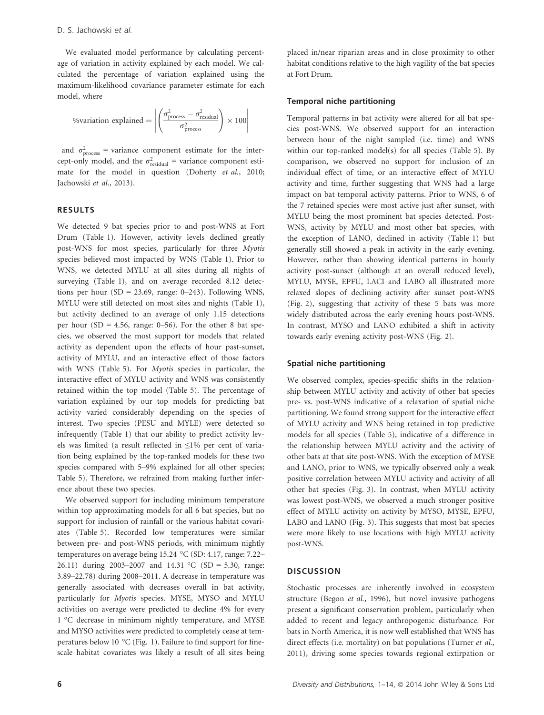We evaluated model performance by calculating percentage of variation in activity explained by each model. We calculated the percentage of variation explained using the maximum-likelihood covariance parameter estimate for each model, where

$$
\text{%variation explained} = \left| \left( \frac{\sigma_{\text{process}}^2 - \sigma_{\text{residual}}^2}{\sigma_{\text{process}}^2} \right) \times 100 \right|
$$

and  $\sigma_{\text{process}}^2$  = variance component estimate for the intercept-only model, and the  $\sigma_{\text{residual}}^2$  = variance component estimate for the model in question (Doherty et al., 2010; Jachowski et al., 2013).

## RESULTS

We detected 9 bat species prior to and post-WNS at Fort Drum (Table 1). However, activity levels declined greatly post-WNS for most species, particularly for three Myotis species believed most impacted by WNS (Table 1). Prior to WNS, we detected MYLU at all sites during all nights of surveying (Table 1), and on average recorded 8.12 detections per hour (SD = 23.69, range:  $0-243$ ). Following WNS, MYLU were still detected on most sites and nights (Table 1), but activity declined to an average of only 1.15 detections per hour (SD = 4.56, range:  $0-56$ ). For the other 8 bat species, we observed the most support for models that related activity as dependent upon the effects of hour past-sunset, activity of MYLU, and an interactive effect of those factors with WNS (Table 5). For Myotis species in particular, the interactive effect of MYLU activity and WNS was consistently retained within the top model (Table 5). The percentage of variation explained by our top models for predicting bat activity varied considerably depending on the species of interest. Two species (PESU and MYLE) were detected so infrequently (Table 1) that our ability to predict activity levels was limited (a result reflected in ≤1% per cent of variation being explained by the top-ranked models for these two species compared with 5–9% explained for all other species; Table 5). Therefore, we refrained from making further inference about these two species.

We observed support for including minimum temperature within top approximating models for all 6 bat species, but no support for inclusion of rainfall or the various habitat covariates (Table 5). Recorded low temperatures were similar between pre- and post-WNS periods, with minimum nightly temperatures on average being 15.24 °C (SD: 4.17, range: 7.22– 26.11) during 2003–2007 and 14.31 °C (SD = 5.30, range: 3.89–22.78) during 2008–2011. A decrease in temperature was generally associated with decreases overall in bat activity, particularly for Myotis species. MYSE, MYSO and MYLU activities on average were predicted to decline 4% for every 1 °C decrease in minimum nightly temperature, and MYSE and MYSO activities were predicted to completely cease at temperatures below 10 °C (Fig. 1). Failure to find support for finescale habitat covariates was likely a result of all sites being

placed in/near riparian areas and in close proximity to other habitat conditions relative to the high vagility of the bat species at Fort Drum.

# Temporal niche partitioning

Temporal patterns in bat activity were altered for all bat species post-WNS. We observed support for an interaction between hour of the night sampled (i.e. time) and WNS within our top-ranked model(s) for all species (Table 5). By comparison, we observed no support for inclusion of an individual effect of time, or an interactive effect of MYLU activity and time, further suggesting that WNS had a large impact on bat temporal activity patterns. Prior to WNS, 6 of the 7 retained species were most active just after sunset, with MYLU being the most prominent bat species detected. Post-WNS, activity by MYLU and most other bat species, with the exception of LANO, declined in activity (Table 1) but generally still showed a peak in activity in the early evening. However, rather than showing identical patterns in hourly activity post-sunset (although at an overall reduced level), MYLU, MYSE, EPFU, LACI and LABO all illustrated more relaxed slopes of declining activity after sunset post-WNS (Fig. 2), suggesting that activity of these 5 bats was more widely distributed across the early evening hours post-WNS. In contrast, MYSO and LANO exhibited a shift in activity towards early evening activity post-WNS (Fig. 2).

### Spatial niche partitioning

We observed complex, species-specific shifts in the relationship between MYLU activity and activity of other bat species pre- vs. post-WNS indicative of a relaxation of spatial niche partitioning. We found strong support for the interactive effect of MYLU activity and WNS being retained in top predictive models for all species (Table 5), indicative of a difference in the relationship between MYLU activity and the activity of other bats at that site post-WNS. With the exception of MYSE and LANO, prior to WNS, we typically observed only a weak positive correlation between MYLU activity and activity of all other bat species (Fig. 3). In contrast, when MYLU activity was lowest post-WNS, we observed a much stronger positive effect of MYLU activity on activity by MYSO, MYSE, EPFU, LABO and LANO (Fig. 3). This suggests that most bat species were more likely to use locations with high MYLU activity post-WNS.

## **DISCUSSION**

Stochastic processes are inherently involved in ecosystem structure (Begon et al., 1996), but novel invasive pathogens present a significant conservation problem, particularly when added to recent and legacy anthropogenic disturbance. For bats in North America, it is now well established that WNS has direct effects (i.e. mortality) on bat populations (Turner et al., 2011), driving some species towards regional extirpation or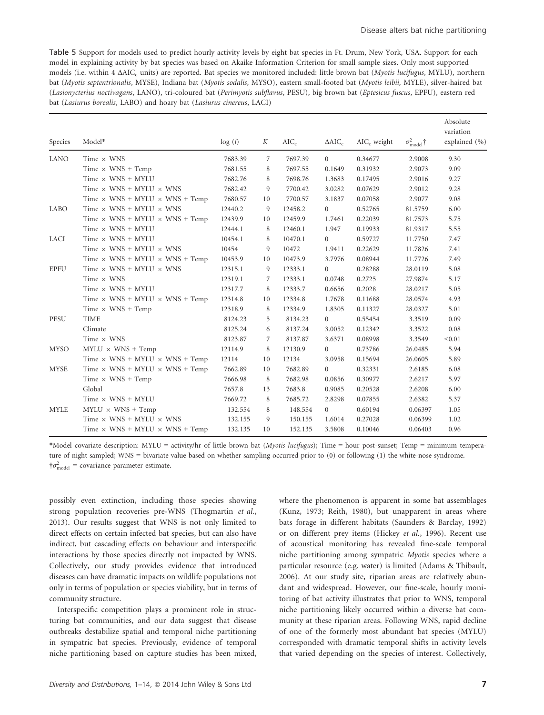Table 5 Support for models used to predict hourly activity levels by eight bat species in Ft. Drum, New York, USA. Support for each model in explaining activity by bat species was based on Akaike Information Criterion for small sample sizes. Only most supported models (i.e. within 4 ΔAIC<sub>c</sub> units) are reported. Bat species we monitored included: little brown bat (*Myotis lucifugus*, MYLU), northern bat (Myotis septentrionalis, MYSE), Indiana bat (Myotis sodalis, MYSO), eastern small-footed bat (Myotis leibii, MYLE), silver-haired bat (Lasionycterius noctivagans, LANO), tri-coloured bat (Perimyotis subflavus, PESU), big brown bat (Eptesicus fuscus, EPFU), eastern red bat (Lasiurus borealis, LABO) and hoary bat (Lasiurus cinereus, LACI)

| <b>Species</b> | Model*                                       | log(l)  | K  | $AIC_c$ | $\Delta AIC_c$ | $AIC_c$ weight | $\sigma_{\text{model}}^2$ † | Absolute<br>variation<br>explained (%) |
|----------------|----------------------------------------------|---------|----|---------|----------------|----------------|-----------------------------|----------------------------------------|
| <b>LANO</b>    | Time $\times$ WNS                            | 7683.39 | 7  | 7697.39 | $\overline{0}$ | 0.34677        | 2.9008                      | 9.30                                   |
|                | Time $\times$ WNS + Temp                     | 7681.55 | 8  | 7697.55 | 0.1649         | 0.31932        | 2.9073                      | 9.09                                   |
|                | Time $\times$ WNS + MYLU                     | 7682.76 | 8  | 7698.76 | 1.3683         | 0.17495        | 2.9016                      | 9.27                                   |
|                | Time $\times$ WNS + MYLU $\times$ WNS        | 7682.42 | 9  | 7700.42 | 3.0282         | 0.07629        | 2.9012                      | 9.28                                   |
|                | Time $\times$ WNS + MYLU $\times$ WNS + Temp | 7680.57 | 10 | 7700.57 | 3.1837         | 0.07058        | 2.9077                      | 9.08                                   |
| LABO           | Time $\times$ WNS + MYLU $\times$ WNS        | 12440.2 | 9  | 12458.2 | $\Omega$       | 0.52765        | 81.5759                     | 6.00                                   |
|                | Time $\times$ WNS + MYLU $\times$ WNS + Temp | 12439.9 | 10 | 12459.9 | 1.7461         | 0.22039        | 81.7573                     | 5.75                                   |
|                | Time $\times$ WNS + MYLU                     | 12444.1 | 8  | 12460.1 | 1.947          | 0.19933        | 81.9317                     | 5.55                                   |
| <b>LACI</b>    | Time $\times$ WNS + MYLU                     | 10454.1 | 8  | 10470.1 | $\overline{0}$ | 0.59727        | 11.7750                     | 7.47                                   |
|                | Time $\times$ WNS + MYLU $\times$ WNS        | 10454   | 9  | 10472   | 1.9411         | 0.22629        | 11.7826                     | 7.41                                   |
|                | Time $\times$ WNS + MYLU $\times$ WNS + Temp | 10453.9 | 10 | 10473.9 | 3.7976         | 0.08944        | 11.7726                     | 7.49                                   |
| <b>EPFU</b>    | Time $\times$ WNS + MYLU $\times$ WNS        | 12315.1 | 9  | 12333.1 | $\Omega$       | 0.28288        | 28.0119                     | 5.08                                   |
|                | Time $\times$ WNS                            | 12319.1 | 7  | 12333.1 | 0.0748         | 0.2725         | 27.9874                     | 5.17                                   |
|                | $Time \times WNS + MYLU$                     | 12317.7 | 8  | 12333.7 | 0.6656         | 0.2028         | 28.0217                     | 5.05                                   |
|                | Time $\times$ WNS + MYLU $\times$ WNS + Temp | 12314.8 | 10 | 12334.8 | 1.7678         | 0.11688        | 28.0574                     | 4.93                                   |
|                | Time $\times$ WNS + Temp                     | 12318.9 | 8  | 12334.9 | 1.8305         | 0.11327        | 28.0327                     | 5.01                                   |
| <b>PESU</b>    | <b>TIME</b>                                  | 8124.23 | 5  | 8134.23 | $\overline{0}$ | 0.55454        | 3.3519                      | 0.09                                   |
|                | Climate                                      | 8125.24 | 6  | 8137.24 | 3.0052         | 0.12342        | 3.3522                      | 0.08                                   |
|                | Time $\times$ WNS                            | 8123.87 | 7  | 8137.87 | 3.6371         | 0.08998        | 3.3549                      | < 0.01                                 |
| <b>MYSO</b>    | $MYLU \times WNS + Temp$                     | 12114.9 | 8  | 12130.9 | $\Omega$       | 0.73786        | 26.0485                     | 5.94                                   |
|                | Time $\times$ WNS + MYLU $\times$ WNS + Temp | 12114   | 10 | 12134   | 3.0958         | 0.15694        | 26.0605                     | 5.89                                   |
| <b>MYSE</b>    | Time $\times$ WNS + MYLU $\times$ WNS + Temp | 7662.89 | 10 | 7682.89 | $\overline{0}$ | 0.32331        | 2.6185                      | 6.08                                   |
|                | Time $\times$ WNS + Temp                     | 7666.98 | 8  | 7682.98 | 0.0856         | 0.30977        | 2.6217                      | 5.97                                   |
|                | Global                                       | 7657.8  | 13 | 7683.8  | 0.9085         | 0.20528        | 2.6208                      | 6.00                                   |
|                | Time $\times$ WNS + MYLU                     | 7669.72 | 8  | 7685.72 | 2.8298         | 0.07855        | 2.6382                      | 5.37                                   |
| <b>MYLE</b>    | $MYLU \times WNS + Temp$                     | 132.554 | 8  | 148.554 | $\overline{0}$ | 0.60194        | 0.06397                     | 1.05                                   |
|                | Time $\times$ WNS + MYLU $\times$ WNS        | 132.155 | 9  | 150.155 | 1.6014         | 0.27028        | 0.06399                     | 1.02                                   |
|                | Time $\times$ WNS + MYLU $\times$ WNS + Temp | 132.135 | 10 | 152.135 | 3.5808         | 0.10046        | 0.06403                     | 0.96                                   |

\*Model covariate description: MYLU = activity/hr of little brown bat (Myotis lucifugus); Time = hour post-sunset; Temp = minimum temperature of night sampled; WNS = bivariate value based on whether sampling occurred prior to (0) or following (1) the white-nose syndrome.  $\dagger \sigma_{\text{model}}^2$  = covariance parameter estimate.

possibly even extinction, including those species showing strong population recoveries pre-WNS (Thogmartin et al., 2013). Our results suggest that WNS is not only limited to direct effects on certain infected bat species, but can also have indirect, but cascading effects on behaviour and interspecific interactions by those species directly not impacted by WNS. Collectively, our study provides evidence that introduced diseases can have dramatic impacts on wildlife populations not only in terms of population or species viability, but in terms of community structure.

Interspecific competition plays a prominent role in structuring bat communities, and our data suggest that disease outbreaks destabilize spatial and temporal niche partitioning in sympatric bat species. Previously, evidence of temporal niche partitioning based on capture studies has been mixed,

where the phenomenon is apparent in some bat assemblages (Kunz, 1973; Reith, 1980), but unapparent in areas where bats forage in different habitats (Saunders & Barclay, 1992) or on different prey items (Hickey et al., 1996). Recent use of acoustical monitoring has revealed fine-scale temporal niche partitioning among sympatric Myotis species where a particular resource (e.g. water) is limited (Adams & Thibault, 2006). At our study site, riparian areas are relatively abundant and widespread. However, our fine-scale, hourly monitoring of bat activity illustrates that prior to WNS, temporal niche partitioning likely occurred within a diverse bat community at these riparian areas. Following WNS, rapid decline of one of the formerly most abundant bat species (MYLU) corresponded with dramatic temporal shifts in activity levels that varied depending on the species of interest. Collectively,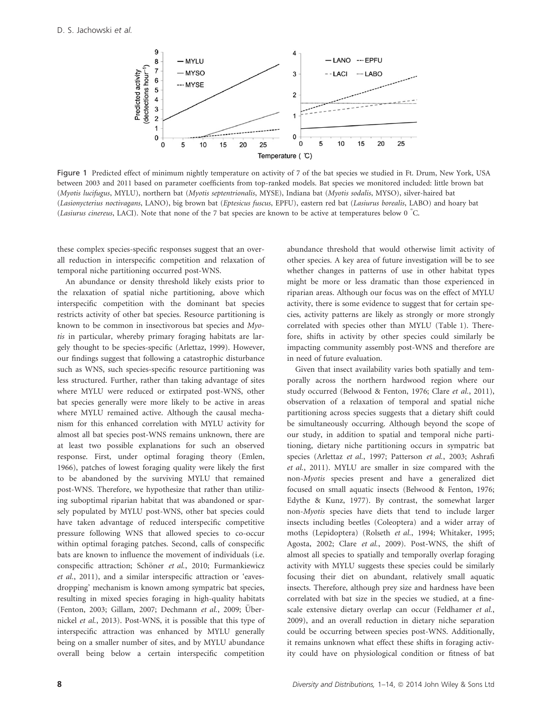

Figure 1 Predicted effect of minimum nightly temperature on activity of 7 of the bat species we studied in Ft. Drum, New York, USA between 2003 and 2011 based on parameter coefficients from top-ranked models. Bat species we monitored included: little brown bat (Myotis lucifugus, MYLU), northern bat (Myotis septentrionalis, MYSE), Indiana bat (Myotis sodalis, MYSO), silver-haired bat (Lasionycterius noctivagans, LANO), big brown bat (Eptesicus fuscus, EPFU), eastern red bat (Lasiurus borealis, LABO) and hoary bat (Lasiurus cinereus, LACI). Note that none of the 7 bat species are known to be active at temperatures below 0 ° C.

these complex species-specific responses suggest that an overall reduction in interspecific competition and relaxation of temporal niche partitioning occurred post-WNS.

An abundance or density threshold likely exists prior to the relaxation of spatial niche partitioning, above which interspecific competition with the dominant bat species restricts activity of other bat species. Resource partitioning is known to be common in insectivorous bat species and Myotis in particular, whereby primary foraging habitats are largely thought to be species-specific (Arlettaz, 1999). However, our findings suggest that following a catastrophic disturbance such as WNS, such species-specific resource partitioning was less structured. Further, rather than taking advantage of sites where MYLU were reduced or extirpated post-WNS, other bat species generally were more likely to be active in areas where MYLU remained active. Although the causal mechanism for this enhanced correlation with MYLU activity for almost all bat species post-WNS remains unknown, there are at least two possible explanations for such an observed response. First, under optimal foraging theory (Emlen, 1966), patches of lowest foraging quality were likely the first to be abandoned by the surviving MYLU that remained post-WNS. Therefore, we hypothesize that rather than utilizing suboptimal riparian habitat that was abandoned or sparsely populated by MYLU post-WNS, other bat species could have taken advantage of reduced interspecific competitive pressure following WNS that allowed species to co-occur within optimal foraging patches. Second, calls of conspecific bats are known to influence the movement of individuals (i.e. conspecific attraction; Schöner et al., 2010; Furmankiewicz et al., 2011), and a similar interspecific attraction or 'eavesdropping' mechanism is known among sympatric bat species, resulting in mixed species foraging in high-quality habitats (Fenton, 2003; Gillam, 2007; Dechmann et al., 2009; Übernickel et al., 2013). Post-WNS, it is possible that this type of interspecific attraction was enhanced by MYLU generally being on a smaller number of sites, and by MYLU abundance overall being below a certain interspecific competition

abundance threshold that would otherwise limit activity of other species. A key area of future investigation will be to see whether changes in patterns of use in other habitat types might be more or less dramatic than those experienced in riparian areas. Although our focus was on the effect of MYLU activity, there is some evidence to suggest that for certain species, activity patterns are likely as strongly or more strongly correlated with species other than MYLU (Table 1). Therefore, shifts in activity by other species could similarly be impacting community assembly post-WNS and therefore are in need of future evaluation.

Given that insect availability varies both spatially and temporally across the northern hardwood region where our study occurred (Belwood & Fenton, 1976; Clare et al., 2011), observation of a relaxation of temporal and spatial niche partitioning across species suggests that a dietary shift could be simultaneously occurring. Although beyond the scope of our study, in addition to spatial and temporal niche partitioning, dietary niche partitioning occurs in sympatric bat species (Arlettaz et al., 1997; Patterson et al., 2003; Ashrafi et al., 2011). MYLU are smaller in size compared with the non-Myotis species present and have a generalized diet focused on small aquatic insects (Belwood & Fenton, 1976; Edythe & Kunz, 1977). By contrast, the somewhat larger non-Myotis species have diets that tend to include larger insects including beetles (Coleoptera) and a wider array of moths (Lepidoptera) (Rolseth et al., 1994; Whitaker, 1995; Agosta, 2002; Clare et al., 2009). Post-WNS, the shift of almost all species to spatially and temporally overlap foraging activity with MYLU suggests these species could be similarly focusing their diet on abundant, relatively small aquatic insects. Therefore, although prey size and hardness have been correlated with bat size in the species we studied, at a finescale extensive dietary overlap can occur (Feldhamer et al., 2009), and an overall reduction in dietary niche separation could be occurring between species post-WNS. Additionally, it remains unknown what effect these shifts in foraging activity could have on physiological condition or fitness of bat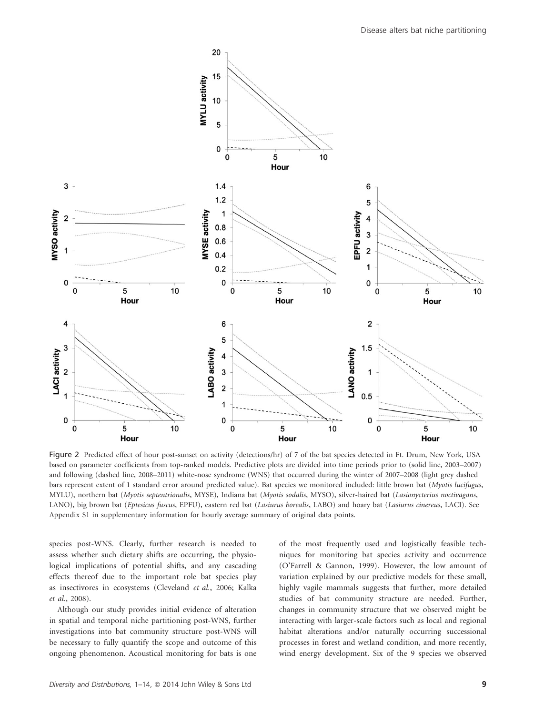

Figure 2 Predicted effect of hour post-sunset on activity (detections/hr) of 7 of the bat species detected in Ft. Drum, New York, USA based on parameter coefficients from top-ranked models. Predictive plots are divided into time periods prior to (solid line, 2003–2007) and following (dashed line, 2008–2011) white-nose syndrome (WNS) that occurred during the winter of 2007–2008 (light grey dashed bars represent extent of 1 standard error around predicted value). Bat species we monitored included: little brown bat (Myotis lucifugus, MYLU), northern bat (Myotis septentrionalis, MYSE), Indiana bat (Myotis sodalis, MYSO), silver-haired bat (Lasionycterius noctivagans, LANO), big brown bat (Eptesicus fuscus, EPFU), eastern red bat (Lasiurus borealis, LABO) and hoary bat (Lasiurus cinereus, LACI). See Appendix S1 in supplementary information for hourly average summary of original data points.

species post-WNS. Clearly, further research is needed to assess whether such dietary shifts are occurring, the physiological implications of potential shifts, and any cascading effects thereof due to the important role bat species play as insectivores in ecosystems (Cleveland et al., 2006; Kalka et al., 2008).

Although our study provides initial evidence of alteration in spatial and temporal niche partitioning post-WNS, further investigations into bat community structure post-WNS will be necessary to fully quantify the scope and outcome of this ongoing phenomenon. Acoustical monitoring for bats is one of the most frequently used and logistically feasible techniques for monitoring bat species activity and occurrence (O'Farrell & Gannon, 1999). However, the low amount of variation explained by our predictive models for these small, highly vagile mammals suggests that further, more detailed studies of bat community structure are needed. Further, changes in community structure that we observed might be interacting with larger-scale factors such as local and regional habitat alterations and/or naturally occurring successional processes in forest and wetland condition, and more recently, wind energy development. Six of the 9 species we observed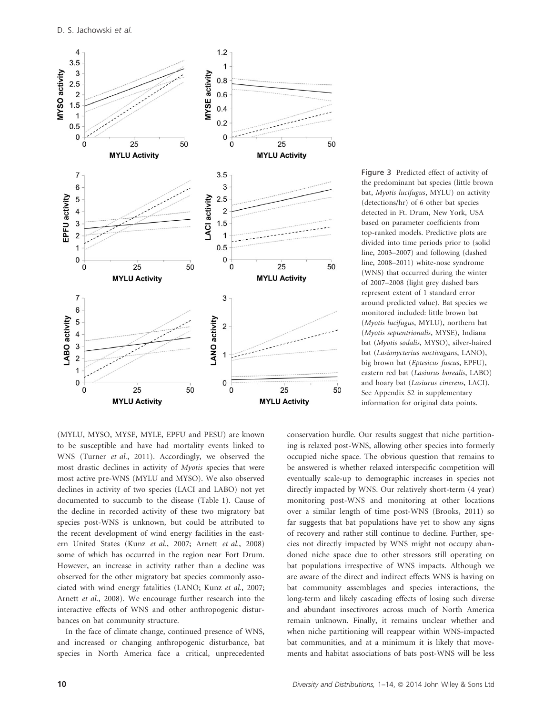

Figure 3 Predicted effect of activity of the predominant bat species (little brown bat, Myotis lucifugus, MYLU) on activity (detections/hr) of 6 other bat species detected in Ft. Drum, New York, USA based on parameter coefficients from top-ranked models. Predictive plots are divided into time periods prior to (solid line, 2003–2007) and following (dashed line, 2008–2011) white-nose syndrome (WNS) that occurred during the winter of 2007–2008 (light grey dashed bars represent extent of 1 standard error around predicted value). Bat species we monitored included: little brown bat (Myotis lucifugus, MYLU), northern bat (Myotis septentrionalis, MYSE), Indiana bat (Myotis sodalis, MYSO), silver-haired bat (Lasionycterius noctivagans, LANO), big brown bat (Eptesicus fuscus, EPFU), eastern red bat (Lasiurus borealis, LABO) and hoary bat (Lasiurus cinereus, LACI). See Appendix S2 in supplementary information for original data points.

(MYLU, MYSO, MYSE, MYLE, EPFU and PESU) are known to be susceptible and have had mortality events linked to WNS (Turner et al., 2011). Accordingly, we observed the most drastic declines in activity of Myotis species that were most active pre-WNS (MYLU and MYSO). We also observed declines in activity of two species (LACI and LABO) not yet documented to succumb to the disease (Table 1). Cause of the decline in recorded activity of these two migratory bat species post-WNS is unknown, but could be attributed to the recent development of wind energy facilities in the eastern United States (Kunz et al., 2007; Arnett et al., 2008) some of which has occurred in the region near Fort Drum. However, an increase in activity rather than a decline was observed for the other migratory bat species commonly associated with wind energy fatalities (LANO; Kunz et al., 2007; Arnett et al., 2008). We encourage further research into the interactive effects of WNS and other anthropogenic disturbances on bat community structure.

In the face of climate change, continued presence of WNS, and increased or changing anthropogenic disturbance, bat species in North America face a critical, unprecedented conservation hurdle. Our results suggest that niche partitioning is relaxed post-WNS, allowing other species into formerly occupied niche space. The obvious question that remains to be answered is whether relaxed interspecific competition will eventually scale-up to demographic increases in species not directly impacted by WNS. Our relatively short-term (4 year) monitoring post-WNS and monitoring at other locations over a similar length of time post-WNS (Brooks, 2011) so far suggests that bat populations have yet to show any signs of recovery and rather still continue to decline. Further, species not directly impacted by WNS might not occupy abandoned niche space due to other stressors still operating on bat populations irrespective of WNS impacts. Although we are aware of the direct and indirect effects WNS is having on bat community assemblages and species interactions, the long-term and likely cascading effects of losing such diverse and abundant insectivores across much of North America remain unknown. Finally, it remains unclear whether and when niche partitioning will reappear within WNS-impacted bat communities, and at a minimum it is likely that movements and habitat associations of bats post-WNS will be less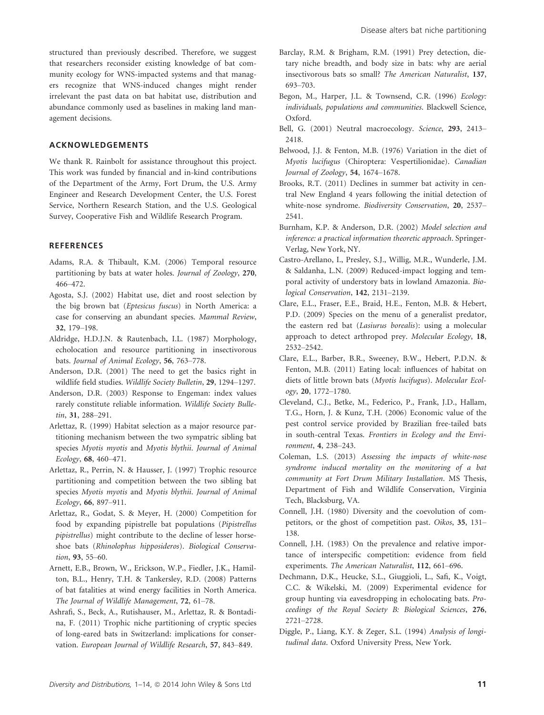structured than previously described. Therefore, we suggest that researchers reconsider existing knowledge of bat community ecology for WNS-impacted systems and that managers recognize that WNS-induced changes might render irrelevant the past data on bat habitat use, distribution and abundance commonly used as baselines in making land management decisions.

## ACKNOWLEDGEMENTS

We thank R. Rainbolt for assistance throughout this project. This work was funded by financial and in-kind contributions of the Department of the Army, Fort Drum, the U.S. Army Engineer and Research Development Center, the U.S. Forest Service, Northern Research Station, and the U.S. Geological Survey, Cooperative Fish and Wildlife Research Program.

## **REFERENCES**

- Adams, R.A. & Thibault, K.M. (2006) Temporal resource partitioning by bats at water holes. Journal of Zoology, 270, 466–472.
- Agosta, S.J. (2002) Habitat use, diet and roost selection by the big brown bat (Eptesicus fuscus) in North America: a case for conserving an abundant species. Mammal Review, 32, 179–198.
- Aldridge, H.D.J.N. & Rautenbach, I.L. (1987) Morphology, echolocation and resource partitioning in insectivorous bats. Journal of Animal Ecology, 56, 763–778.
- Anderson, D.R. (2001) The need to get the basics right in wildlife field studies. Wildlife Society Bulletin, 29, 1294–1297.
- Anderson, D.R. (2003) Response to Engeman: index values rarely constitute reliable information. Wildlife Society Bulletin, 31, 288–291.
- Arlettaz, R. (1999) Habitat selection as a major resource partitioning mechanism between the two sympatric sibling bat species Myotis myotis and Myotis blythii. Journal of Animal Ecology, 68, 460–471.
- Arlettaz, R., Perrin, N. & Hausser, J. (1997) Trophic resource partitioning and competition between the two sibling bat species Myotis myotis and Myotis blythii. Journal of Animal Ecology, 66, 897–911.
- Arlettaz, R., Godat, S. & Meyer, H. (2000) Competition for food by expanding pipistrelle bat populations (Pipistrellus pipistrellus) might contribute to the decline of lesser horseshoe bats (Rhinolophus hipposideros). Biological Conservation, 93, 55–60.
- Arnett, E.B., Brown, W., Erickson, W.P., Fiedler, J.K., Hamilton, B.L., Henry, T.H. & Tankersley, R.D. (2008) Patterns of bat fatalities at wind energy facilities in North America. The Journal of Wildlife Management, 72, 61–78.
- Ashrafi, S., Beck, A., Rutishauser, M., Arlettaz, R. & Bontadina, F. (2011) Trophic niche partitioning of cryptic species of long-eared bats in Switzerland: implications for conservation. European Journal of Wildlife Research, 57, 843–849.
- Barclay, R.M. & Brigham, R.M. (1991) Prey detection, dietary niche breadth, and body size in bats: why are aerial insectivorous bats so small? The American Naturalist, 137, 693–703.
- Begon, M., Harper, J.L. & Townsend, C.R. (1996) Ecology: individuals, populations and communities. Blackwell Science, Oxford.
- Bell, G. (2001) Neutral macroecology. Science, 293, 2413– 2418.
- Belwood, J.J. & Fenton, M.B. (1976) Variation in the diet of Myotis lucifugus (Chiroptera: Vespertilionidae). Canadian Journal of Zoology, 54, 1674–1678.
- Brooks, R.T. (2011) Declines in summer bat activity in central New England 4 years following the initial detection of white-nose syndrome. Biodiversity Conservation, 20, 2537– 2541.
- Burnham, K.P. & Anderson, D.R. (2002) Model selection and inference: a practical information theoretic approach. Springer-Verlag, New York, NY.
- Castro-Arellano, I., Presley, S.J., Willig, M.R., Wunderle, J.M. & Saldanha, L.N. (2009) Reduced-impact logging and temporal activity of understory bats in lowland Amazonia. Biological Conservation, 142, 2131–2139.
- Clare, E.L., Fraser, E.E., Braid, H.E., Fenton, M.B. & Hebert, P.D. (2009) Species on the menu of a generalist predator, the eastern red bat (Lasiurus borealis): using a molecular approach to detect arthropod prey. Molecular Ecology, 18, 2532–2542.
- Clare, E.L., Barber, B.R., Sweeney, B.W., Hebert, P.D.N. & Fenton, M.B. (2011) Eating local: influences of habitat on diets of little brown bats (Myotis lucifugus). Molecular Ecology, 20, 1772–1780.
- Cleveland, C.J., Betke, M., Federico, P., Frank, J.D., Hallam, T.G., Horn, J. & Kunz, T.H. (2006) Economic value of the pest control service provided by Brazilian free-tailed bats in south-central Texas. Frontiers in Ecology and the Environment, 4, 238–243.
- Coleman, L.S. (2013) Assessing the impacts of white-nose syndrome induced mortality on the monitoring of a bat community at Fort Drum Military Installation. MS Thesis, Department of Fish and Wildlife Conservation, Virginia Tech, Blacksburg, VA.
- Connell, J.H. (1980) Diversity and the coevolution of competitors, or the ghost of competition past. Oikos, 35, 131– 138.
- Connell, J.H. (1983) On the prevalence and relative importance of interspecific competition: evidence from field experiments. The American Naturalist, 112, 661–696.
- Dechmann, D.K., Heucke, S.L., Giuggioli, L., Safi, K., Voigt, C.C. & Wikelski, M. (2009) Experimental evidence for group hunting via eavesdropping in echolocating bats. Proceedings of the Royal Society B: Biological Sciences, 276, 2721–2728.
- Diggle, P., Liang, K.Y. & Zeger, S.L. (1994) Analysis of longitudinal data. Oxford University Press, New York.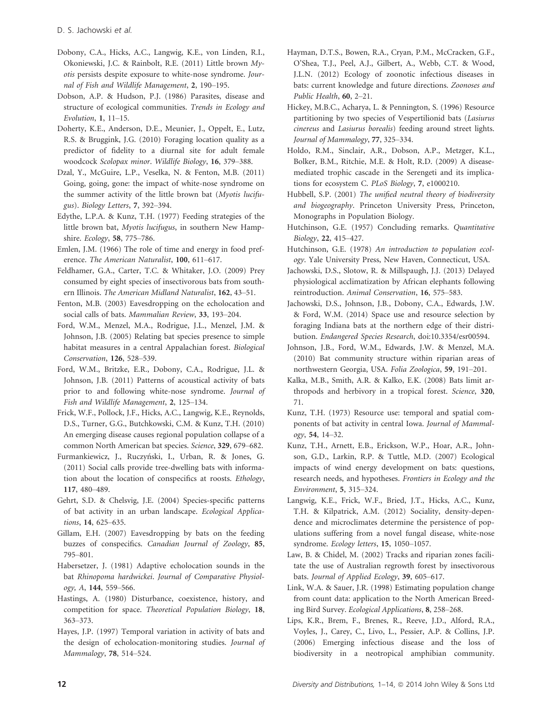- Dobony, C.A., Hicks, A.C., Langwig, K.E., von Linden, R.I., Okoniewski, J.C. & Rainbolt, R.E. (2011) Little brown Myotis persists despite exposure to white-nose syndrome. Journal of Fish and Wildlife Management, 2, 190–195.
- Dobson, A.P. & Hudson, P.J. (1986) Parasites, disease and structure of ecological communities. Trends in Ecology and Evolution, 1, 11–15.
- Doherty, K.E., Anderson, D.E., Meunier, J., Oppelt, E., Lutz, R.S. & Bruggink, J.G. (2010) Foraging location quality as a predictor of fidelity to a diurnal site for adult female woodcock Scolopax minor. Wildlife Biology, 16, 379–388.
- Dzal, Y., McGuire, L.P., Veselka, N. & Fenton, M.B. (2011) Going, going, gone: the impact of white-nose syndrome on the summer activity of the little brown bat (Myotis lucifugus). Biology Letters, 7, 392–394.
- Edythe, L.P.A. & Kunz, T.H. (1977) Feeding strategies of the little brown bat, Myotis lucifugus, in southern New Hampshire. Ecology, 58, 775–786.
- Emlen, J.M. (1966) The role of time and energy in food preference. The American Naturalist, 100, 611–617.
- Feldhamer, G.A., Carter, T.C. & Whitaker, J.O. (2009) Prey consumed by eight species of insectivorous bats from southern Illinois. The American Midland Naturalist, 162, 43–51.
- Fenton, M.B. (2003) Eavesdropping on the echolocation and social calls of bats. Mammalian Review, 33, 193–204.
- Ford, W.M., Menzel, M.A., Rodrigue, J.L., Menzel, J.M. & Johnson, J.B. (2005) Relating bat species presence to simple habitat measures in a central Appalachian forest. Biological Conservation, 126, 528–539.
- Ford, W.M., Britzke, E.R., Dobony, C.A., Rodrigue, J.L. & Johnson, J.B. (2011) Patterns of acoustical activity of bats prior to and following white-nose syndrome. Journal of Fish and Wildlife Management, 2, 125–134.
- Frick, W.F., Pollock, J.F., Hicks, A.C., Langwig, K.E., Reynolds, D.S., Turner, G.G., Butchkowski, C.M. & Kunz, T.H. (2010) An emerging disease causes regional population collapse of a common North American bat species. Science, 329, 679–682.
- Furmankiewicz, J., Ruczyński, I., Urban, R. & Jones, G. (2011) Social calls provide tree-dwelling bats with information about the location of conspecifics at roosts. Ethology, 117, 480–489.
- Gehrt, S.D. & Chelsvig, J.E. (2004) Species-specific patterns of bat activity in an urban landscape. Ecological Applications, 14, 625–635.
- Gillam, E.H. (2007) Eavesdropping by bats on the feeding buzzes of conspecifics. Canadian Journal of Zoology, 85, 795–801.
- Habersetzer, J. (1981) Adaptive echolocation sounds in the bat Rhinopoma hardwickei. Journal of Comparative Physiology, A, 144, 559–566.
- Hastings, A. (1980) Disturbance, coexistence, history, and competition for space. Theoretical Population Biology, 18, 363–373.
- Hayes, J.P. (1997) Temporal variation in activity of bats and the design of echolocation-monitoring studies. Journal of Mammalogy, 78, 514–524.
- Hayman, D.T.S., Bowen, R.A., Cryan, P.M., McCracken, G.F., O'Shea, T.J., Peel, A.J., Gilbert, A., Webb, C.T. & Wood, J.L.N. (2012) Ecology of zoonotic infectious diseases in bats: current knowledge and future directions. Zoonoses and Public Health, 60, 2–21.
- Hickey, M.B.C., Acharya, L. & Pennington, S. (1996) Resource partitioning by two species of Vespertilionid bats (Lasiurus cinereus and Lasiurus borealis) feeding around street lights. Journal of Mammalogy, 77, 325–334.
- Holdo, R.M., Sinclair, A.R., Dobson, A.P., Metzger, K.L., Bolker, B.M., Ritchie, M.E. & Holt, R.D. (2009) A diseasemediated trophic cascade in the Serengeti and its implications for ecosystem C. PLoS Biology, 7, e1000210.
- Hubbell, S.P. (2001) The unified neutral theory of biodiversity and biogeography. Princeton University Press, Princeton, Monographs in Population Biology.
- Hutchinson, G.E. (1957) Concluding remarks. Quantitative Biology, 22, 415–427.
- Hutchinson, G.E. (1978) An introduction to population ecology. Yale University Press, New Haven, Connecticut, USA.
- Jachowski, D.S., Slotow, R. & Millspaugh, J.J. (2013) Delayed physiological acclimatization by African elephants following reintroduction. Animal Conservation, 16, 575–583.
- Jachowski, D.S., Johnson, J.B., Dobony, C.A., Edwards, J.W. & Ford, W.M. (2014) Space use and resource selection by foraging Indiana bats at the northern edge of their distribution. Endangered Species Research, doi:10.3354/esr00594.
- Johnson, J.B., Ford, W.M., Edwards, J.W. & Menzel, M.A. (2010) Bat community structure within riparian areas of northwestern Georgia, USA. Folia Zoologica, 59, 191–201.
- Kalka, M.B., Smith, A.R. & Kalko, E.K. (2008) Bats limit arthropods and herbivory in a tropical forest. Science, 320, 71.
- Kunz, T.H. (1973) Resource use: temporal and spatial components of bat activity in central Iowa. Journal of Mammalogy, 54, 14–32.
- Kunz, T.H., Arnett, E.B., Erickson, W.P., Hoar, A.R., Johnson, G.D., Larkin, R.P. & Tuttle, M.D. (2007) Ecological impacts of wind energy development on bats: questions, research needs, and hypotheses. Frontiers in Ecology and the Environment, 5, 315–324.
- Langwig, K.E., Frick, W.F., Bried, J.T., Hicks, A.C., Kunz, T.H. & Kilpatrick, A.M. (2012) Sociality, density-dependence and microclimates determine the persistence of populations suffering from a novel fungal disease, white-nose syndrome. Ecology letters, 15, 1050-1057.
- Law, B. & Chidel, M. (2002) Tracks and riparian zones facilitate the use of Australian regrowth forest by insectivorous bats. Journal of Applied Ecology, 39, 605–617.
- Link, W.A. & Sauer, J.R. (1998) Estimating population change from count data: application to the North American Breeding Bird Survey. Ecological Applications, 8, 258–268.
- Lips, K.R., Brem, F., Brenes, R., Reeve, J.D., Alford, R.A., Voyles, J., Carey, C., Livo, L., Pessier, A.P. & Collins, J.P. (2006) Emerging infectious disease and the loss of biodiversity in a neotropical amphibian community.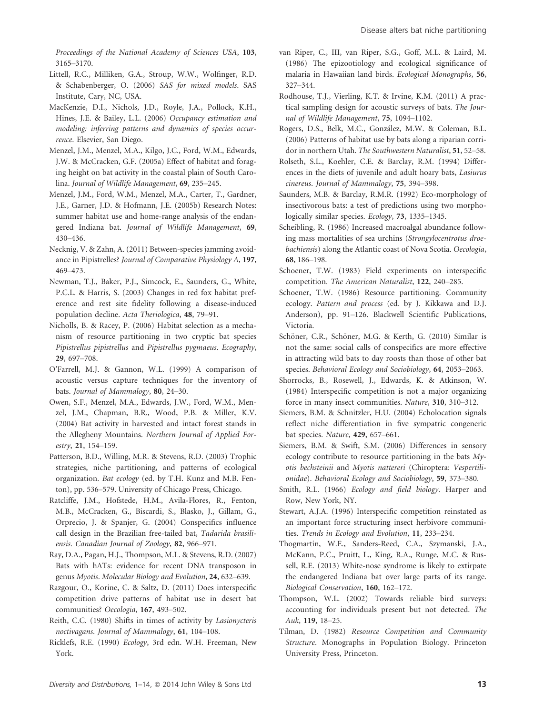Proceedings of the National Academy of Sciences USA, 103, 3165–3170.

- Littell, R.C., Milliken, G.A., Stroup, W.W., Wolfinger, R.D. & Schabenberger, O. (2006) SAS for mixed models. SAS Institute, Cary, NC, USA.
- MacKenzie, D.I., Nichols, J.D., Royle, J.A., Pollock, K.H., Hines, J.E. & Bailey, L.L. (2006) Occupancy estimation and modeling: inferring patterns and dynamics of species occurrence. Elsevier, San Diego.
- Menzel, J.M., Menzel, M.A., Kilgo, J.C., Ford, W.M., Edwards, J.W. & McCracken, G.F. (2005a) Effect of habitat and foraging height on bat activity in the coastal plain of South Carolina. Journal of Wildlife Management, 69, 235–245.
- Menzel, J.M., Ford, W.M., Menzel, M.A., Carter, T., Gardner, J.E., Garner, J.D. & Hofmann, J.E. (2005b) Research Notes: summer habitat use and home-range analysis of the endangered Indiana bat. Journal of Wildlife Management, 69, 430–436.
- Necknig, V. & Zahn, A. (2011) Between-species jamming avoidance in Pipistrelles? Journal of Comparative Physiology A, 197, 469–473.
- Newman, T.J., Baker, P.J., Simcock, E., Saunders, G., White, P.C.L. & Harris, S. (2003) Changes in red fox habitat preference and rest site fidelity following a disease-induced population decline. Acta Theriologica, 48, 79–91.
- Nicholls, B. & Racey, P. (2006) Habitat selection as a mechanism of resource partitioning in two cryptic bat species Pipistrellus pipistrellus and Pipistrellus pygmaeus. Ecography, 29, 697–708.
- O'Farrell, M.J. & Gannon, W.L. (1999) A comparison of acoustic versus capture techniques for the inventory of bats. Journal of Mammalogy, 80, 24–30.
- Owen, S.F., Menzel, M.A., Edwards, J.W., Ford, W.M., Menzel, J.M., Chapman, B.R., Wood, P.B. & Miller, K.V. (2004) Bat activity in harvested and intact forest stands in the Allegheny Mountains. Northern Journal of Applied Forestry, 21, 154–159.
- Patterson, B.D., Willing, M.R. & Stevens, R.D. (2003) Trophic strategies, niche partitioning, and patterns of ecological organization. Bat ecology (ed. by T.H. Kunz and M.B. Fenton), pp. 536–579. University of Chicago Press, Chicago.
- Ratcliffe, J.M., Hofstede, H.M., Avila-Flores, R., Fenton, M.B., McCracken, G., Biscardi, S., Blasko, J., Gillam, G., Orprecio, J. & Spanjer, G. (2004) Conspecifics influence call design in the Brazilian free-tailed bat, Tadarida brasiliensis. Canadian Journal of Zoology, 82, 966–971.
- Ray, D.A., Pagan, H.J., Thompson, M.L. & Stevens, R.D. (2007) Bats with hATs: evidence for recent DNA transposon in genus Myotis. Molecular Biology and Evolution, 24, 632–639.
- Razgour, O., Korine, C. & Saltz, D. (2011) Does interspecific competition drive patterns of habitat use in desert bat communities? Oecologia, 167, 493–502.
- Reith, C.C. (1980) Shifts in times of activity by Lasionycteris noctivagans. Journal of Mammalogy, 61, 104–108.
- Ricklefs, R.E. (1990) Ecology, 3rd edn. W.H. Freeman, New York.
- van Riper, C., III, van Riper, S.G., Goff, M.L. & Laird, M. (1986) The epizootiology and ecological significance of malaria in Hawaiian land birds. Ecological Monographs, 56, 327–344.
- Rodhouse, T.J., Vierling, K.T. & Irvine, K.M. (2011) A practical sampling design for acoustic surveys of bats. The Journal of Wildlife Management, 75, 1094–1102.
- Rogers, D.S., Belk, M.C., González, M.W. & Coleman, B.L. (2006) Patterns of habitat use by bats along a riparian corridor in northern Utah. The Southwestern Naturalist, 51, 52–58.
- Rolseth, S.L., Koehler, C.E. & Barclay, R.M. (1994) Differences in the diets of juvenile and adult hoary bats, Lasiurus cinereus. Journal of Mammalogy, 75, 394–398.
- Saunders, M.B. & Barclay, R.M.R. (1992) Eco-morphology of insectivorous bats: a test of predictions using two morphologically similar species. Ecology, 73, 1335–1345.
- Scheibling, R. (1986) Increased macroalgal abundance following mass mortalities of sea urchins (Strongylocentrotus droebachiensis) along the Atlantic coast of Nova Scotia. Oecologia, 68, 186–198.
- Schoener, T.W. (1983) Field experiments on interspecific competition. The American Naturalist, 122, 240–285.
- Schoener, T.W. (1986) Resource partitioning. Community ecology. Pattern and process (ed. by J. Kikkawa and D.J. Anderson), pp. 91–126. Blackwell Scientific Publications, Victoria.
- Schöner, C.R., Schöner, M.G. & Kerth, G. (2010) Similar is not the same: social calls of conspecifics are more effective in attracting wild bats to day roosts than those of other bat species. Behavioral Ecology and Sociobiology, 64, 2053–2063.
- Shorrocks, B., Rosewell, J., Edwards, K. & Atkinson, W. (1984) Interspecific competition is not a major organizing force in many insect communities. Nature, 310, 310–312.
- Siemers, B.M. & Schnitzler, H.U. (2004) Echolocation signals reflect niche differentiation in five sympatric congeneric bat species. Nature, 429, 657–661.
- Siemers, B.M. & Swift, S.M. (2006) Differences in sensory ecology contribute to resource partitioning in the bats Myotis bechsteinii and Myotis nattereri (Chiroptera: Vespertilionidae). Behavioral Ecology and Sociobiology, 59, 373–380.
- Smith, R.L. (1966) Ecology and field biology. Harper and Row, New York, NY.
- Stewart, A.J.A. (1996) Interspecific competition reinstated as an important force structuring insect herbivore communities. Trends in Ecology and Evolution, 11, 233–234.
- Thogmartin, W.E., Sanders-Reed, C.A., Szymanski, J.A., McKann, P.C., Pruitt, L., King, R.A., Runge, M.C. & Russell, R.E. (2013) White-nose syndrome is likely to extirpate the endangered Indiana bat over large parts of its range. Biological Conservation, 160, 162–172.
- Thompson, W.L. (2002) Towards reliable bird surveys: accounting for individuals present but not detected. The Auk, 119, 18–25.
- Tilman, D. (1982) Resource Competition and Community Structure. Monographs in Population Biology. Princeton University Press, Princeton.